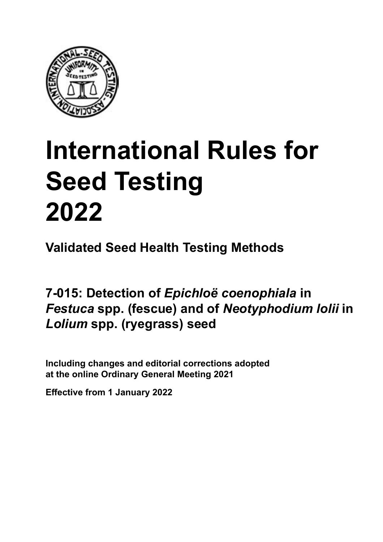

# **International Rules for Seed Testing von Saatgut 2022 2022 Semences 2022 International Rules for Seed Testing 2022**

**Métodos Validados para Análisis de Sanidad de Semillas Validate Méthodes Validées pour Analyse Sanitaire des Semences Validated Seed Health Testing Methods**

**7‑015: Detección de** *Epichloë coenophiala* **en semillas de** *Festuca* **spp. (festuca) y de**  *Neotyphodium lolii* **en semillas de** *Lolium* **spp. (ryegrass) 7‑015: Nachweis von** *Epichloë coenophiala* **an 7‑015: Détection d'***Epichloë coenophiala* **sur** *Festuca* **Detection of** *Epichloë coenophiala* **in**  *Festuca* **spp. (Schwingel) und** *Neotyphodium lolii* **spp. (fétuque) et de** *Neotyphodium lolii* **sur** *Lolium* **spp. (fescue) and of** *Neotyphodium lolii* **in**   $\bm{\mathit{Lolium} }$  spp. (ryegrass) seed

Including changes and editorial corrections adopted at the online Ordinary General Meeting 2021

**Effective from 1 January 2022**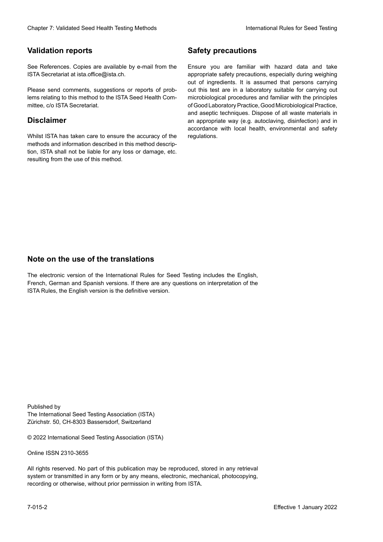### **Validation reports**

See References. Copies are available by e-mail from the<br>ISTA Secretariat at ista.office@ista.ch. ISTA Secretariat at ista.office@ista.ch.

lems relating to this method to the ISTA Seed Health Com-<br>mittee, c/o ISTA Secretariat. mittee, c/o ISTA Secretariat.<br>i Please send comments, suggestions or reports of prob-

### **Limitation de responsabilité Disclaimer**

Whilst ISTA has taken care to ensure the accuracy of the<br>methods and information described in this method description, ISTA shall not be liable for any loss or damage, etc.<br>resulting from the use of this method.<br>. resulting from the use of this method. Whilst ISTA has taken care to ensure the accuracy of the methods and information described in this method descrip-<br>tion, ISTA shall not be liable for any loss or damage, etc. tion, ISTA shall not be liable for any loss or damage, etc.<br>resulting from the use of this method.

### **Medidas de seguridad Sicherheitsmaßnahmen Sécurité Safety precautions**

Ensure you are familiar with hazard data and take Ensure you are familiar with hazard data and take<br>appropriate safety precautions, especially during weighing out of ingredients. It is assumed that persons carrying out this test are in a laboratory suitable for carrying out microbiological procedures and familiar with the principles of Good Laboratory Practice, Good Microbiological Practice, and aseptic techniques. Dispose of all waste materials in an appropriate way (e.g. autoclaving, disinfection) and in accordance with local health, environmental and safety regulations. Glade in Validated Deed Health Testing holes by Safety precedutions<br>
Validation reports<br>
Safety precedution and simplication of Safety precedutions<br>
Safety precedution and the main of the Same of Safety Precedution Safety microbiological procedures and familiar with the principles<br>of Good Laboratory Practice, Good Microbiological Practice,<br>and aseptic techniques. Dispose of all waste materials in<br>an appropriate way (e.g. autoclaving, disinf fallstoffe sind auf geeignete Weise und entsprechend der vor Ort über der vor Ort über und Umwelt- und Umwelt-<br>Eine und Umwelt-Effective Counter of Nicholas Devel Teach Teach Teach Devel Safety precedutions<br>
Yaristotic energy of Safety precedutions and Safety precedutions of the United Safety precedutions of the United Sementary and Sementary and of Good Laboratory Practice, Good Microbiological Practice,<br>and aseptic techniques. Dispose of all waste materials in<br>an appropriate way (e.g. autoclaving, disinfection) and in Validation reports<br>
Since The Texture 1988 and the methods of the state of the state of the state of the state of the Since Conserverse Conserverse in the state of the Since Conserverse Conserverse Conserverse in the state Ensure you are familiar with hazard data and take<br>appropriate safety precautions, especially during weighing<br>out of ingredients. It is assumed that persons carrying<br>out this test are in a laboratory suitable for carrying o

## **Nota sobre el uso de traducciones Anmerkung zur Benutzung der Übersetzungen Note on the use of the translations**

The electronic version of the International Rules for Seed Testing includes the English, French, German and Spanish versions. If there are any questions on interpretation of the ISTA Rules, the English version is the definitive version. The electronic version of the International Rules for Seed Testing includes the English,<br>French, German and Spanish versions. If there are any questions on interpretation of the<br>ISTA Rules, the English version is the defin The electronic version of the International Rules for Seed Testing includes the English,<br>French, German and Spanish versions. If there are any questions on interpretation of the

Published by **Extending Association (ISTA)** The International Seed Testing Association (ISTA) Zürichstr. 50, CH-8303 Bassersdorf, Switzerland

© 2022 International Seed Testing Association (ISTA)

Alle Rechte vorbehalten. Kein Teil dieses Werkes darf in irgendwelcher Form oder durch Online ISSN 2310-3655

All rights reserved. No part of this publication may be reproduced, stored in any retrieval All rights reserved. No part of this publication may be reproduced, stored in any retrieval<br>system or transmitted in any form or by any means, electronic, mechanical, photocopying,<br>recording or otherwise, without prior per recording or otherwise, without prior permis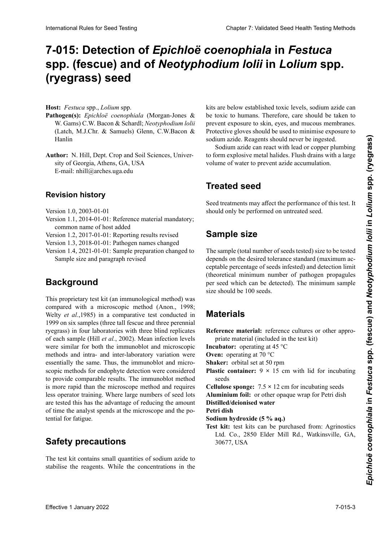# 7-015: Detection of *Epichloë coenophiala* in *Festuca* spp. (fescue) and of *Neotyphodium Iolii* in *Lolium* spp. **semillas de** *Lolium* **spp. (ryegrass) (Lolch, Weidelgras) (ray-grass) (ryegrass) seed**

**Host:** *Festuca* spp., *Lolium* spp.

- Pathogen(s): Epichloë coenophiala (Morgan-Jones & W. Gams) C.W. Bacon & Schardl; Neotyphodium lolii (Latch, M.J.Chr. & Samuels) Glenn, C.W.Bacon & (Barris, Michael & Samuels) Glenn, C.W.Bacon & S<br>Hanlin **Hamilti** *Neotyphodium lolii* (Latch, M.J.Chr. & Samuels) Glenn, C.W. Bacon & Hanling M.J.Chr. B. Samuels) Glenn, C.W. Bacon Hanlin
- **Author:** W. Hill, Dept. Crop and Son Sciences, Univerof Georgia, Athens, GA, USA E-mail: nhill@arches.uga.edu  $S_{11}$  of Georgia, Athens, GA, USA **Authors 1.** Hill, Dept. Crop and Son Sciences, University of Georgia, Athens, GA, USA<br>E mail: phil@amhas.use.edu **Author:** N. Hill, Dept. Crop and Soil Sciences, Univer-

# **Historial de revisiones Revisionsstand Historique de la révision Revision history**

Versión 1.0, 2003-01-01 Version 1.0, 2003-01-01

- version 1.0, 2003-01-01<br>Version 1.1, 2014-01-01: Reference material mandatory; common name of host added
- Version 1.2, 2017-01-01: Reporting results revised
- Version 1.3, 2018-01-01: Pathogen names changed
- Version 1.4, 2021-01-01: Sample preparation changed to Sample size and paragraph revised

#### **Background** Probengröße und Überarbeitung des Absatzes révisé

This proprietary test kit (an immunological method) was compared with a microscopic method (Anon., 1998; Welty et al., 1985) in a comparative test conducted in 1999 on six samples (three tall fescue and three perennial ryegrass) in four laboratories with three blind replicates of each sample (Hill *et al.*, 2002). Mean infection levels<br>were similar for both the immunoblot and microscopic were similar for both the immunoblot and microscopic methods and intra- and inter-laboratory variation were essentially the same. Thus, the immunoblot and microscopic methods for endophyte detection were considered to provide comparable results. The immunoblot method is more rapid than the microscope method and requires less operator training. Where large numbers of seed lots lais operator dummig. Where targe nambers or seed tots are tested this has the advantage of reducing the amount  $\alpha$ <sup>2</sup> de lotes de semilla, este método de semilla, este método de semilla, este método de semilla, este método do semilla, este método do semilla, este método do semilla, este método do semilla, este método do semilla, are tested this has the advantage of reducing the amount<br>of time the analyst spends at the microscope and the potential for fatigue. were similar for both the immunoblot and microscopic<br>methods and intra- and inter-laboratory variation were<br>essentially the same. Thus, the immunoblot and micromethods and intra- and inter-laboratory variation were<br>essentially the same. Thus, the immunoblot and micro-<br>scopic methods for endophyte detection were considered of time the analyst spends at the microscope and the po-<br>tential for fatigue. Memberson Reserves to the **Control of Control of Control of Control of Control of Control of Control of Control of Control of Control of Control of Control of Control of Control of Control of Control of Control of Control** 

#### **Sarety precautions** eines reduzierten Zeitaufwandes, den der Durchführende **Safety precautions**

The test kit contains small quantities of socium azide to stabilise the reagents. While the concentrations in the The test kit contains small quantities of sodium azide to

nos are betow established toxic fevels, socialm azide early be toxic to humans. Therefore, care should be taken to prevent exposure to skin, eyes, and mucous membranes.<br>Protective gloves should be used to minimise exposure to sodium azide. Reagents should never be ingested. Protective gloves should be used to minimise exposure to<br>sodium azide. Reagents should never be ingested. expositivos general só dium azide. Reagents should never be ingested. kits are below established toxic levels, sodium azide can

sodium azide can react with lead or copper plumbing to form explosive metal halides. Flush drains with a large po torm explosive meur numeros. I fuon trumo where a large volume of water to prevent azide accumulation. besondere vorm verwendet werden den Kontakt mit den Kontakt mit den Kontakt mit den Kontakt mit den Kontakt mit volume of water to prevent azide accumulation.

#### **Trooted good Treated seed**

**Semilla tratada** Natriumazid reagiert mit Blei- und Kupferrohrleitunshould only be performed on untreated seed. seed treatments may allect the performance of this test. It Seed treatments may affect the performance of this test. It

## Sample size thode. Elle ne devrait être appliquée que sur semences non traitées.

The sample (total number of seeds te ceptable percentage of seeds infested) and detection limit (theoretical minimum number of pathogen propagules per seed which can be detected). The minimum sample size should be 100 seeds. **Behandeltes (gebeiztes) Saatgut** depends on the desired tolerance standard (maximum ac-The sample (total number of seeds tested) size to be tested (theoretical minimum number of pathogen propagules per seed which can be detected). The minimum sample size should be 100 seeds.

# semillas. Die Größe der zu prüfenden Probe (Gesamtzahl der ge-**Materials** propagules de l'agent pathogène pouvant de l'agent par semence pouvant à l'échantillon de l'échantillon de l'é<br>La taille minimum de l'échantillon de l'échantillon de l'échantillon de l'échantillon de 100 semences. La tai

**Material Constant Constant Constant Constant Constant Constant Constant Constant Constant Constant Constant Constant Constant Constant Constant Constant Constant Constant Constant Constant Constant Constant Constant Const** Reference material: reference cultures or other appro-

**Incubator:** operating at 45 °C

**Oven:** operating at 70 °C

**Shaker:** orbital set at 50 rpm

**Plastic container:**  $9 \times 15$  cm with lid for incubating  $\text{seeds}$ 

**Cellulose sponge:**  $7.5 \times 12$  cm for incubating seeds **Control ponget** 4.5 **12 cm** for meadaing seeds ción de la semilla de la semilla de la semilla de la semilla de la semilla de la semilla de la semilla de la<br>Desembleción de la semilla de la semilla de la semilla de la semilla de la semilla de la semilla de la semilla **Esponha de compara de celulosa: 7,5 para la incorporación de la incubación de la inclusión de la incorporación**<br>De la inclusión de la incorporación de la incorporación de la incorporación de la incorporación de la incorpo **Reference in Reference geeige** weigt for Fear and the Distributed decomposed working **Controlse sponger**  $\overline{B}$  is  $\overline{B}$  on for measuring seeds **Distilled/deionised water** 

**Petri dish**

- **Petri dish<br>Petri dish<br>Sodium hydroxide (5 % aq.)**
- **Test kit:** test kits can be purchased from: Agrinostics  $\frac{1}{2}$  kit. itsi kit **Ltd.** Co., 2000 ERICI IV. **Placas de Petri** Samen **Boîte de Pétri** 30677, USA**SCHUTTLER:** COLORED MIT 50 UPM 51 Ltd. Co., 2850 Elder Mill Rd., Watkinsville, GA,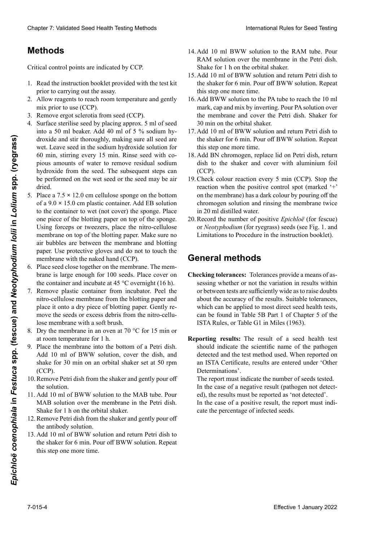# **Métodos Destilliertes/deionisiertes Wasser Méthodes**

Critical control points are indicated by CCP.

- 1. Read the instruction booklet provided with the test kit<br>prior to carrying out the assay. prior to carrying out the assay.
- 2. Allow reagents to reach room temperature and gently  $\frac{1}{2}$  mix prior to use (CCP).
- matique de la service de la service de la semilia prior to disc (CCP).<br>3. Remove ergot sclerotia from seed (CCP).
- 4. Surface sterilise seed by placing approx. 5 ml of seed into a 50 ml beaker. Add 40 ml of 5 % sodium hydroxide and stir thoroughly, making sure all seed are arennes and sin increaging, maining sare an security semillas estén humedecidas in the socialism hydromate solution for<br>60 min, stirring every 15 min. Rinse seed with copious amounts of water to remove residual sodium hydroxide from the seed. The subsequent steps can grande cantidades cantidades de agua para eliminar los de resi- $\sigma$  performed on the wet seed of the seed may be an posteriores se pueden realizar con la semilla húmeda o fernt werden (KKP). Clearlier 2. Validated Steel Testin Testing bloks by<br>
1. Januar Association Accelering the Method and Steel Testin Accelering to the KAM of the Steel Testin Accelering von Saats (New York 2022)<br>
1. Januar Accelering Steel  $\lim_{k \to \infty}$ be performed on the wet seed or the seed may be air the performed on the wet seed of the seed may be and<br>dried.<br>5. Place a  $7.5 \times 12.0$  cm cellulose sponge on the bottom the 40 ml de solid de soigneuse de soigneuse de soigneuse de soigneuse sont mélanger sont mouth and the society of min. Rinne seed with compare somewhere of wester to remean pendual pedium pendant 60 min, en mélangeant tou wet. Leave seed in the sodium hydroxide solution for dried.
- $r \arccos a$  /.5  $\land$  12.0 cm centri of a 9.0 × 15.0 cm plastic container. Add EB solution of a  $9.0 \times 13.0$  cm plastic container. Add EB solution<br>to the container to wet (not cover) the sponge. Place one piece of the blotting paper on top of the sponge. Using forceps or tweezers, place the nitro-cellulose Using forceps or tweezers, place the nitro-cellulose<br>membrane on top of the blotting paper. Make sure no air bubbles are between the membrane and blotting paper. Use protective gloves and do not to touch the membrane with the naked hand (CCP). Cheap 7 Validient See Treint and response to the MAI and DW station Reservoir Reservoir Bank Cheap The MAI and the MAI and the MAI and the MAI and the MAI and the MAI and the MAI and the MAI and the MAI and the MAI and th air bubbles are between the membrane and blotting<br>paper. Use protective gloves and do not to touch the<br>membrane with the naked hand (CCP).<br>Place seed close together on the membrane. The mem-**Methods**<br>
Critical control points are indicated by CCP. An All in the Mark Demokration in the Mark Demokration and FRW what<br>has control points are indicated by CR and the Neotyphodium and control points are intermediated paper. Use protective gloves and do not to touch the
	- 6. Place seed close together on the membrane. The membrane is large enough for 100 seeds. Place cover on brane is large enough for 100 seeds. Place cover on the container and incubate at 45  $^{\circ}$ C overnight (16 h).
	- Remove plastic container from incubator. Peel the 7. Remove plastic container from incubator. Peel the nitro-cellulose membrane from the blotting paper and place it onto a dry piece of blotting paper. Gently remove the seeds or excess debris from the nitro-cellulose membrane with a soft brush.
	- lose membrane with a soft brush.<br>8. Dry the membrane in an oven at 70  $\degree$ C for 15 min or at room temperature for 1 h.
	- 9. Place the membrane into the bottom of a Petri dish. Add 10 ml of BWW solution, cover the dish, and shake for 30 min on an orbital shaker set at 50 rm  $(CCP)$  $\frac{1}{6}$ shake for 30 min on an orbital shaker set at 50.  $(CCP)$ (CCP).<br>10. Remove Petri dish from the shaker and gently pour off shake for 30 min on an orbital shaker set at 50 rpm (CCP).
	- $\stackrel{\text{{\tiny $\wedge$}}}{\sim}$  Permulation  $\stackrel{\text{{\tiny $\wedge$}}}{\sim}$  and  $\stackrel{\text{{\tiny $\wedge$}}}{\sim}$  multiplace  $\stackrel{\text{{\tiny $\wedge$}}}{\sim}$  $t_{\rm max}$  due to a minute  $\alpha$  minutes entries that  $\sum_{i=1}^{n} \frac{1}{i}$  $\frac{1}{2}$  the solution.
	- 11. Add 10 ml of BWW solution to the MAB tube. Pour MAB solution over the membrane in the Petri dish. MAB solution over the inemotial in the Fear dish.<br>Shake for 1 h on the orbital shaker.  $11. R_{\text{max}}$  10 m de solución Buchara Shaker.  $\sum_{i=1}^{n} \frac{1}{i} \sum_{i=1}^{n} \frac{1}{i} \sum_{i=1}^{n} \frac{1}{i} \sum_{i=1}^{n} \frac{1}{i} \sum_{i=1}^{n} \frac{1}{i} \sum_{i=1}^{n} \frac{1}{i} \sum_{i=1}^{n} \frac{1}{i} \sum_{i=1}^{n} \frac{1}{i} \sum_{i=1}^{n} \frac{1}{i} \sum_{i=1}^{n} \frac{1}{i} \sum_{i=1}^{n} \frac{1}{i} \sum_{i=1}^{n} \frac{1}{i} \sum_{i=1}^{n} \frac{1}{i$  $\sum_{n=1}^{\infty}$  surface of the Mathematical matrix later and  $\sum_{n=1}^{\infty}$
	- $\frac{1}{2}$  solution management and genus pour on tric antibolity solution. einer Bürger und der Nitrocellung von der Nitrocellulosement. Ein der Nitrocellulosement entfernte von der Nit<br>Der Nitrocellulosement entfernte von der Nitrocellulosement von der Nitrocellulosement von der Nitrocellulosem 8. Trockness and Membran in Wärmeschrift bei 70 °C and 10 °C and 10 °C and 10 °C and 10 °C and 10 °C and 10 °C and 10 °C and 10 °C and 10 °C and 10 °C and 10 °C and 10 °C and 10 °C and 10 °C and 10 °C and 10 °C and 10 °C a 12. Remove Petri dish from the shaker and gently pour off  $12. + 11.10 - 1.$  Southout definition de la bonne de l'agitation the antibody solution.
	- 13. Add 10 fm of B w w solution and feurli Fetri district the shaker for 6 min. Pour off BWW solution. Repeat this step one more time.  $\frac{1}{2}$  and 10 min of B w w solution and feurn fe 13. Add 10 ml of BWW solution and return Petri dish to
- 14. Add 10 ml BWW solution to the RAM tube. Pour 14. Add 10 ml BWW solution to the RAM tube. Pour RAM solution over the membrane in the Petri dish. Shake for 1 h on the orbital shaker.
- 15. Add 10 ml of BWW solution and return Petri dish to<br>the shaker for 6 min. Pour off BWW solution. Repeat the shaker for 6 min. Pour off BWW solution. Repeat this step one more time.
- 16. Add BWW solution to the PA tube to reach the 10 ml<br>mark can and mix by inverting Pour PA solution over mark, cap and mix by inverting. Pour PA solution over the membrane and cover the Petri dish. Shaker for<br>30 min on the orbital shaker 30 min on the orbital shaker.
- 17. Add 10 ml of BWW solution and return Petri dish to the shaker for 6 min. Pour off BWW solution. Repeat this step one more time.
- ans suep ene more ume.<br>18. Add BN chromogen, replace lid on Petri dish, return dick to the choice and cover with olyminium foil dish to the shaker and cove  $(CC1)$ .<br>19. Claude estere martine access  $\epsilon$  min  $(CCD)$ . Ctan the 10. Tua BW emoinogen, replace na on 1 eur anni, rett und to the shaker and cover with an<br>minimum  $s_{\text{obs}}$  (CCI). 19. Text DIVenomogen, replace ne on I earl anon, retain dish to the shaker and cover with aluminium foil  $(CCD)$ (CCP).
- $\frac{1}{2}$  reacción cuando el punto de la punto de control positiva de la punto de la punto de la punto de la punto de la punto de la punto de la punto de la punto de la punto de la punto de la punto de la punto de la punt  $\alpha$  (marked  $\alpha$ ) tengal under the positive collition spot (marked  $\alpha$ ) on the memorane) has a dark colour by pouring on the chromogen solution and rinsing the membrane twice 20. Registrar el número de semilla positiva positiva positiva positiva positiva positiva positiva en la para el número de semilla positiva en la para el número de semilla positiva en la para el número de semilla positiva e 19. Check colour reaction every 5 min (CCP). Stop the  $(CCP)$  $\frac{1}{2}$  reaction when the positive control spot (marked on me memorane) has a dark colour by pouring on in 20 ml distilled water. reaction when the positive control spot (i on the membrane) has a dark colour by pouring off the reaction when the positive control spot (marked '+'
- in 20 mi distilled water.<br>20. Record the number of positive *Epichloë* (for fescue) or *Neotyphodium* (for ryegrass) seeds (see Fig. 1. and Limitations to Procedure in the instruction booklet).

#### **General methods** dieses Schrittes. **General methods**

- **Checking tolerances:** Tolerances provide a means of assessing whether or not the variation in results within or between tests are sufficiently wide as to raise doubts about the accuracy of the results. Suitable tolerances,<br>which can be applied to most direct seed health tests,<br>can be found in Table 5B Part 1 of Chapter 5 of the which can be applied to most direct seed health tests, can be found in Table 5B Part 1 of Chapter 5 of the ISTA Rules, or Table G1 in Miles (1963).
- Reporting results: The result of a seed health test detected and the test method used. When reported on an ISTA Certificate, results are entered under 'Other del patri determinations'.<br>Determinations'. should indicate the scientific name of the pathogen

The report must indicate the number of seeds tested. In the case of a negative result (pathogen not detect-<br>d), the results must be reported as 'not detected'. ed), the results must be reported as 'not detected'.<br>Le the sexe of a positive world the growt must indi-

Let the case of a positive result, the report must indi-En un caso or a positivo result, un report mast martado in percentago of informations. m in der der der positive result, um report must must nisse zu zweifeln. Eine Toleranztabelle, die für die für die meisten Saatgut-Gesundheitsprüfungen angesten die ate the percentage of infected seeds.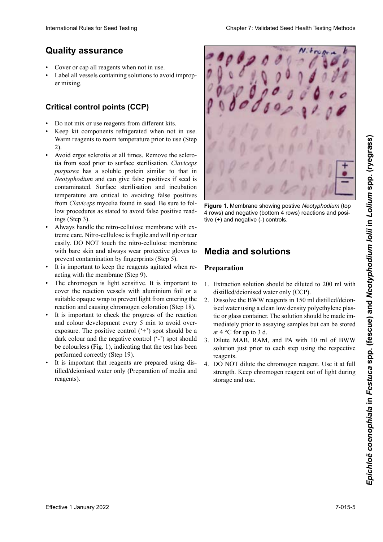# **Quality assurance**

- Cover or cap all reagents when not in use.
- Label all vessels containing solutions to avoid improper mixing.

#### **Puntos críticos de control (PCC) Critical control points (CCP)** richt den Prozentsatz infizierter Samen angeben. sclérotes des semences avant la désinfection de surface.

- Do not mix or use reagents from different kits.
- Keep kit components refrigerated when not in use. we have been component to the component where the current control we have a set of the summer to use (Step no se estén usando de ben usa per usar estén usa (super Num reagents to room temperature prior to use (Step<br>
2) 2).
- Avoid ergot sclerotia at all times. Remove the sclero-• Evitar los esclerocios de ergot en todo momento. Remo-zu halten. *Claviceps* présent dans les semences. S'assurer du suivi tia from seed prior to surface sterilisation. *Claviceps* purpurea has a soluble protein similar to that in Neotyphodium and can give false positives if seed is *xeotyphodium* and can give false positives if seed is contaminated. Surface sterilisation and incubation contaminated. Surface stermsation and includation<br>temperature are critical to avoiding false positives demperature are critical to avoiding faise positives from Claviceps mycelia found in seed. Be sure to follow procedures as stated to avoid false positive readings (Step 3). from *Claviceps* mycelia found in seed. Be sure to fol-<br>from *Claviceps* mycelia found in seed. Be sure to fol-<br>low procedures as stated to avoid false positive read-
- Always handle the nitro-cellulose membrane with extreme care. Nitro-cellulose is fragile and will rip or tear easily. DO NOT touch the nitro-cellulose membrane with bare skin and always wear protective gloves to with bare skin and always wear protective gloves to prevent contamination by fingerprints (Step 5).
- It is important to keep the reagents agitated when reacting with the membrane (Step 9).
- The chromogen is light sensitive. It is important to The chromogen is light sensitive. It is important to cover the reaction vessels with aluminium foil or a suitable opaque wrap to prevent light from entering the reaction and causing chromogen coloration (Step 18). The chromogen is light sensitive. It is important to cover the reaction vessels with aluminium foil or a suitable opaque wrap to prevent light from entering the reaction and causing chromogen coloration (Step 18).
- It is important to check the progress of the reaction<br>and colour development every 5 min to avoid overand colour development every 5 min to avoid overexposure. The positive control ('+') spot should be a dark colour and the negative control ('-') spot should<br>be colourless (Fig. 1), indicating that the test has been be colourless (Fig. 1), indicating that the test has been performed correctly (Step 19).
- It is important that reagents are prepared using distilled/deionised water only (Preparation of media and reagents).  $z = \frac{1}{2}$  $\mathbf{F}$



**Figure 1.** Membrane showing postive *Neotyphodium* (top 4 rows) and negative (bottom 4 rows) reactions and positive (+) and negative (-) controls.

# **Media and solutions**

### **Preparation**

- 1. Extraction solution should be diluted to 200 ml with distilled/deionised water only (CCP).
- 2. Dissolve the BWW reagents in 150 ml distilled/deionised water using a clean low density polyethylene plastic or glass container. The solution should be made immediately prior to assaying samples but can be stored at 4 °C for up to 3 d.
- S. Dhute MAB, NAW, and TA with To fill of BWW<br>solution just prior to each step using the respective 3. Dilute MAB, RAM, and PA with 10 ml of BWW reagents.
- **Herstellung** 4. DO NOT dilute the chromogen reagent. Use it at full strength. Keep chromogen reagent out of light during storage and use.